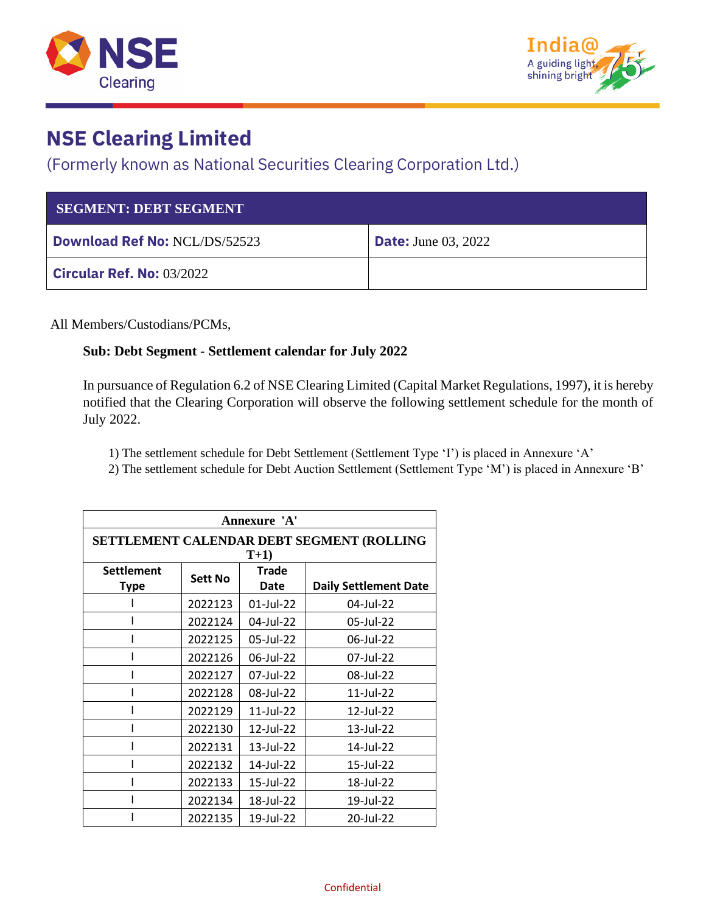



## **NSE Clearing Limited**

#### (Formerly known as National Securities Clearing Corporation Ltd.)

| <b>SEGMENT: DEBT SEGMENT</b>         |                            |
|--------------------------------------|----------------------------|
| <b>Download Ref No: NCL/DS/52523</b> | <b>Date:</b> June 03, 2022 |
| <b>Circular Ref. No: 03/2022</b>     |                            |

All Members/Custodians/PCMs,

#### **Sub: Debt Segment - Settlement calendar for July 2022**

In pursuance of Regulation 6.2 of NSE Clearing Limited (Capital Market Regulations, 1997), it is hereby notified that the Clearing Corporation will observe the following settlement schedule for the month of July 2022.

1) The settlement schedule for Debt Settlement (Settlement Type 'I') is placed in Annexure 'A'

2) The settlement schedule for Debt Auction Settlement (Settlement Type 'M') is placed in Annexure 'B'

| Annexure 'A'                                       |                |               |                              |  |
|----------------------------------------------------|----------------|---------------|------------------------------|--|
| SETTLEMENT CALENDAR DEBT SEGMENT (ROLLING<br>$T+1$ |                |               |                              |  |
| <b>Settlement</b><br><b>Type</b>                   | <b>Sett No</b> | Trade<br>Date | <b>Daily Settlement Date</b> |  |
|                                                    | 2022123        | 01-Jul-22     | 04-Jul-22                    |  |
|                                                    | 2022124        | 04-Jul-22     | 05-Jul-22                    |  |
|                                                    | 2022125        | 05-Jul-22     | 06-Jul-22                    |  |
|                                                    | 2022126        | 06-Jul-22     | 07-Jul-22                    |  |
|                                                    | 2022127        | 07-Jul-22     | 08-Jul-22                    |  |
|                                                    | 2022128        | 08-Jul-22     | 11-Jul-22                    |  |
|                                                    | 2022129        | 11-Jul-22     | 12-Jul-22                    |  |
|                                                    | 2022130        | 12-Jul-22     | 13-Jul-22                    |  |
|                                                    | 2022131        | $13$ -Jul-22  | 14-Jul-22                    |  |
|                                                    | 2022132        | 14-Jul-22     | 15-Jul-22                    |  |
|                                                    | 2022133        | 15-Jul-22     | 18-Jul-22                    |  |
|                                                    | 2022134        | 18-Jul-22     | 19-Jul-22                    |  |
|                                                    | 2022135        | 19-Jul-22     | 20-Jul-22                    |  |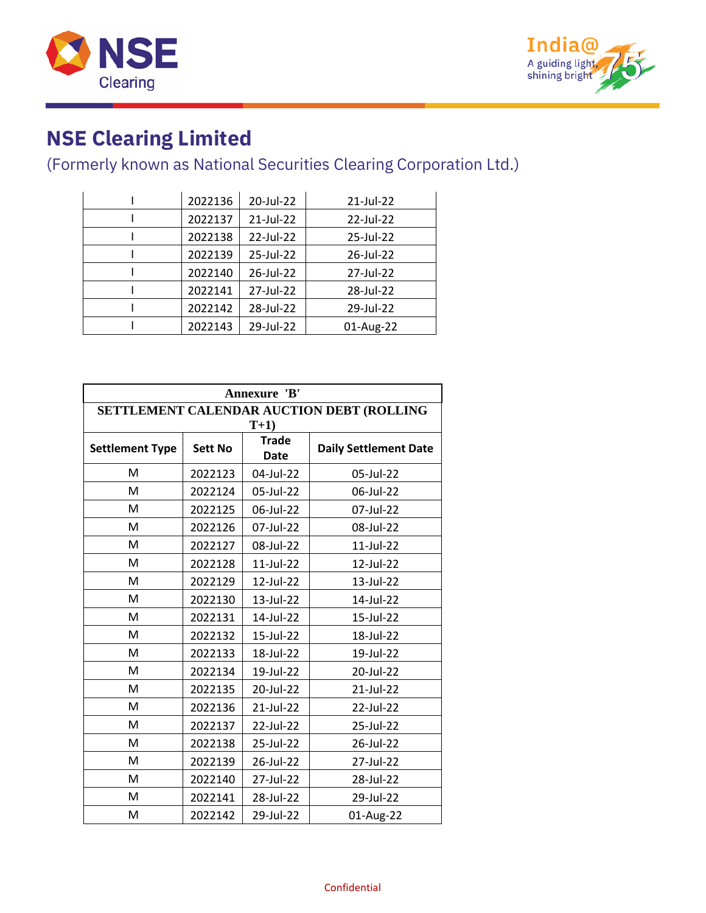



# **NSE Clearing Limited**

### (Formerly known as National Securities Clearing Corporation Ltd.)

| 2022136 | 20-Jul-22 | 21-Jul-22 |
|---------|-----------|-----------|
| 2022137 | 21-Jul-22 | 22-Jul-22 |
| 2022138 | 22-Jul-22 | 25-Jul-22 |
| 2022139 | 25-Jul-22 | 26-Jul-22 |
| 2022140 | 26-Jul-22 | 27-Jul-22 |
| 2022141 | 27-Jul-22 | 28-Jul-22 |
| 2022142 | 28-Jul-22 | 29-Jul-22 |
| 2022143 | 29-Jul-22 | 01-Aug-22 |
|         |           |           |

| Annexure 'B'           |                                           |                             |                              |  |
|------------------------|-------------------------------------------|-----------------------------|------------------------------|--|
|                        | SETTLEMENT CALENDAR AUCTION DEBT (ROLLING |                             |                              |  |
|                        |                                           | $T+1$                       |                              |  |
| <b>Settlement Type</b> | <b>Sett No</b>                            | <b>Trade</b><br><b>Date</b> | <b>Daily Settlement Date</b> |  |
| M                      | 2022123                                   | 04-Jul-22                   | 05-Jul-22                    |  |
| M                      | 2022124                                   | 05-Jul-22                   | 06-Jul-22                    |  |
| M                      | 2022125                                   | 06-Jul-22                   | 07-Jul-22                    |  |
| M                      | 2022126                                   | 07-Jul-22                   | 08-Jul-22                    |  |
| M                      | 2022127                                   | 08-Jul-22                   | 11-Jul-22                    |  |
| M                      | 2022128                                   | 11-Jul-22                   | 12-Jul-22                    |  |
| M                      | 2022129                                   | 12-Jul-22                   | 13-Jul-22                    |  |
| M                      | 2022130                                   | 13-Jul-22                   | 14-Jul-22                    |  |
| M                      | 2022131                                   | 14-Jul-22                   | 15-Jul-22                    |  |
| M                      | 2022132                                   | 15-Jul-22                   | 18-Jul-22                    |  |
| M                      | 2022133                                   | 18-Jul-22                   | 19-Jul-22                    |  |
| M                      | 2022134                                   | 19-Jul-22                   | 20-Jul-22                    |  |
| M                      | 2022135                                   | 20-Jul-22                   | 21-Jul-22                    |  |
| M                      | 2022136                                   | 21-Jul-22                   | 22-Jul-22                    |  |
| M                      | 2022137                                   | 22-Jul-22                   | 25-Jul-22                    |  |
| M                      | 2022138                                   | 25-Jul-22                   | 26-Jul-22                    |  |
| M                      | 2022139                                   | 26-Jul-22                   | 27-Jul-22                    |  |
| M                      | 2022140                                   | 27-Jul-22                   | 28-Jul-22                    |  |
| M                      | 2022141                                   | 28-Jul-22                   | 29-Jul-22                    |  |
| M                      | 2022142                                   | 29-Jul-22                   | 01-Aug-22                    |  |